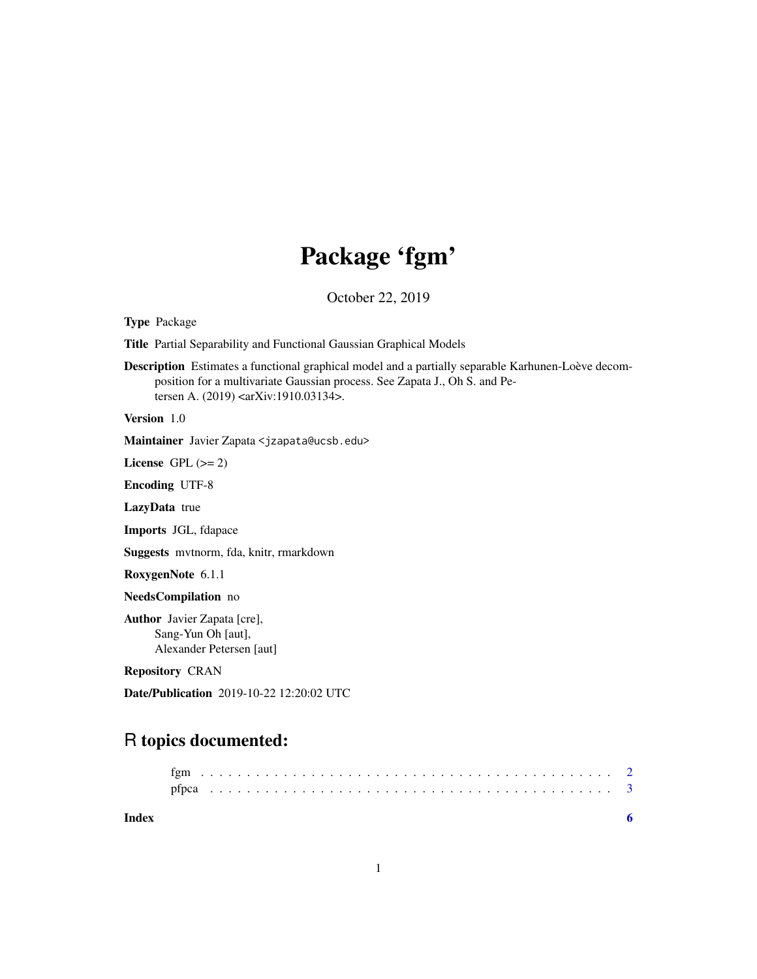## Package 'fgm'

October 22, 2019

Type Package

Title Partial Separability and Functional Gaussian Graphical Models

Description Estimates a functional graphical model and a partially separable Karhunen-Loève decomposition for a multivariate Gaussian process. See Zapata J., Oh S. and Petersen A. (2019) <arXiv:1910.03134>.

Version 1.0

Maintainer Javier Zapata <jzapata@ucsb.edu>

License GPL  $(>= 2)$ 

Encoding UTF-8

LazyData true

Imports JGL, fdapace

Suggests mvtnorm, fda, knitr, rmarkdown

RoxygenNote 6.1.1

NeedsCompilation no

Author Javier Zapata [cre], Sang-Yun Oh [aut], Alexander Petersen [aut]

Repository CRAN

Date/Publication 2019-10-22 12:20:02 UTC

### R topics documented:

| Index |  |  |  |  |  |  |  |  |  |  |  |  |  |  |  |  |  |  |  |  |  |  |  |
|-------|--|--|--|--|--|--|--|--|--|--|--|--|--|--|--|--|--|--|--|--|--|--|--|

| ۰ |
|---|
|   |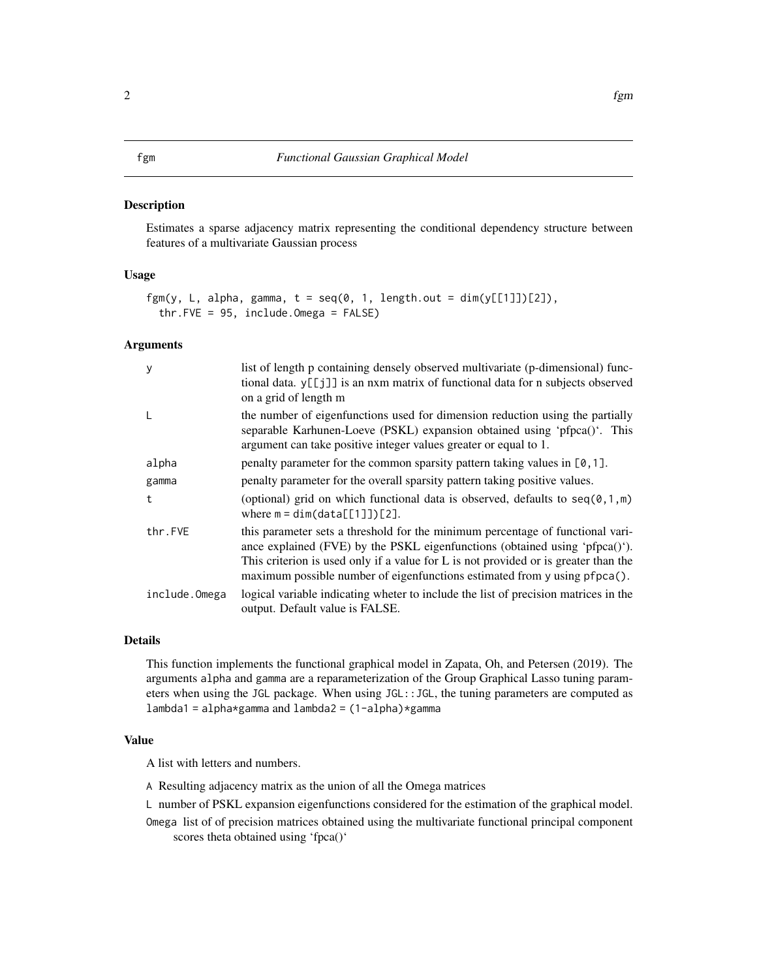#### <span id="page-1-0"></span>Description

Estimates a sparse adjacency matrix representing the conditional dependency structure between features of a multivariate Gaussian process

#### Usage

```
fgm(y, L, alpha, gamma, t = \text{seq}(0, 1, \text{ length.out} = \text{dim}(y[\text{[1]}])[\text{2}]),thr.FVE = 95, include.Omega = FALSE)
```
#### Arguments

| y             | list of length p containing densely observed multivariate (p-dimensional) func-<br>tional data. y[[j]] is an nxm matrix of functional data for n subjects observed<br>on a grid of length m                                                                                                                                       |
|---------------|-----------------------------------------------------------------------------------------------------------------------------------------------------------------------------------------------------------------------------------------------------------------------------------------------------------------------------------|
| L             | the number of eigenfunctions used for dimension reduction using the partially<br>separable Karhunen-Loeve (PSKL) expansion obtained using 'pfpca()'. This<br>argument can take positive integer values greater or equal to 1.                                                                                                     |
| alpha         | penalty parameter for the common sparsity pattern taking values in $[0, 1]$ .                                                                                                                                                                                                                                                     |
| gamma         | penalty parameter for the overall sparsity pattern taking positive values.                                                                                                                                                                                                                                                        |
| t             | (optional) grid on which functional data is observed, defaults to $seq(0,1,m)$<br>where $m = dim(data[[1]])[2]$ .                                                                                                                                                                                                                 |
| thr.FVE       | this parameter sets a threshold for the minimum percentage of functional vari-<br>ance explained (FVE) by the PSKL eigenfunctions (obtained using 'pfpca()').<br>This criterion is used only if a value for L is not provided or is greater than the<br>maximum possible number of eigenfunctions estimated from y using pfpca(). |
| include.Omega | logical variable indicating wheter to include the list of precision matrices in the<br>output. Default value is FALSE.                                                                                                                                                                                                            |

#### Details

This function implements the functional graphical model in Zapata, Oh, and Petersen (2019). The arguments alpha and gamma are a reparameterization of the Group Graphical Lasso tuning parameters when using the JGL package. When using JGL::JGL, the tuning parameters are computed as lambda1 = alpha\*gamma and lambda2 = (1-alpha)\*gamma

#### Value

A list with letters and numbers.

A Resulting adjacency matrix as the union of all the Omega matrices

L number of PSKL expansion eigenfunctions considered for the estimation of the graphical model.

Omega list of of precision matrices obtained using the multivariate functional principal component scores theta obtained using 'fpca()'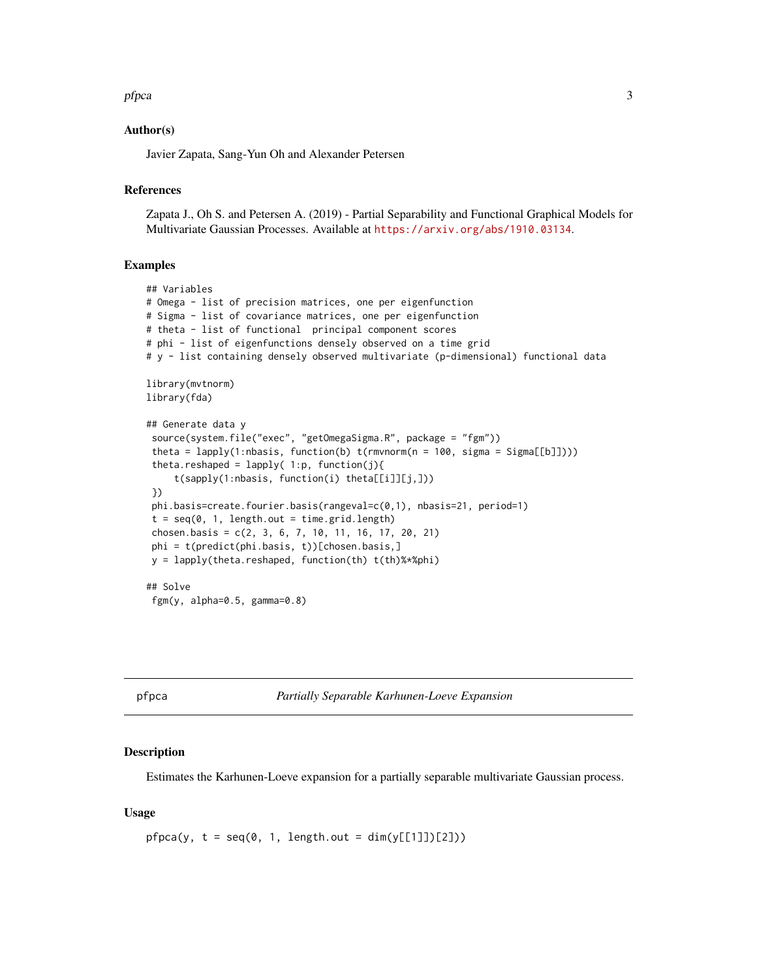#### <span id="page-2-0"></span>pfpca 3

#### Author(s)

Javier Zapata, Sang-Yun Oh and Alexander Petersen

#### References

Zapata J., Oh S. and Petersen A. (2019) - Partial Separability and Functional Graphical Models for Multivariate Gaussian Processes. Available at <https://arxiv.org/abs/1910.03134>.

#### Examples

```
## Variables
# Omega - list of precision matrices, one per eigenfunction
# Sigma - list of covariance matrices, one per eigenfunction
# theta - list of functional principal component scores
# phi - list of eigenfunctions densely observed on a time grid
# y - list containing densely observed multivariate (p-dimensional) functional data
library(mvtnorm)
library(fda)
## Generate data y
source(system.file("exec", "getOmegaSigma.R", package = "fgm"))
 theta = lapply(1:nbasis, function(b) t(rmvnorm(n = 100, sigma = Sigma[[b]])))
 theta.reshaped = lapply(1:p, function(j){
     t(sapply(1:nbasis, function(i) theta[[i]][j,]))
})
phi.basis=create.fourier.basis(rangeval=c(0,1), nbasis=21, period=1)
t = \text{seq}(0, 1, \text{length.out} = \text{time.grid.length})chosen.basis = c(2, 3, 6, 7, 10, 11, 16, 17, 20, 21)phi = t(predict(phi.basis, t))[chosen.basis,]
y = lapply(theta.reshaped, function(th) t(th)%*%phi)
## Solve
fgm(y, alpha=0.5, gamma=0.8)
```
pfpca *Partially Separable Karhunen-Loeve Expansion*

#### **Description**

Estimates the Karhunen-Loeve expansion for a partially separable multivariate Gaussian process.

#### Usage

```
pfpca(y, t = seq(0, 1, length.out = dim(y[[1]])[2]))
```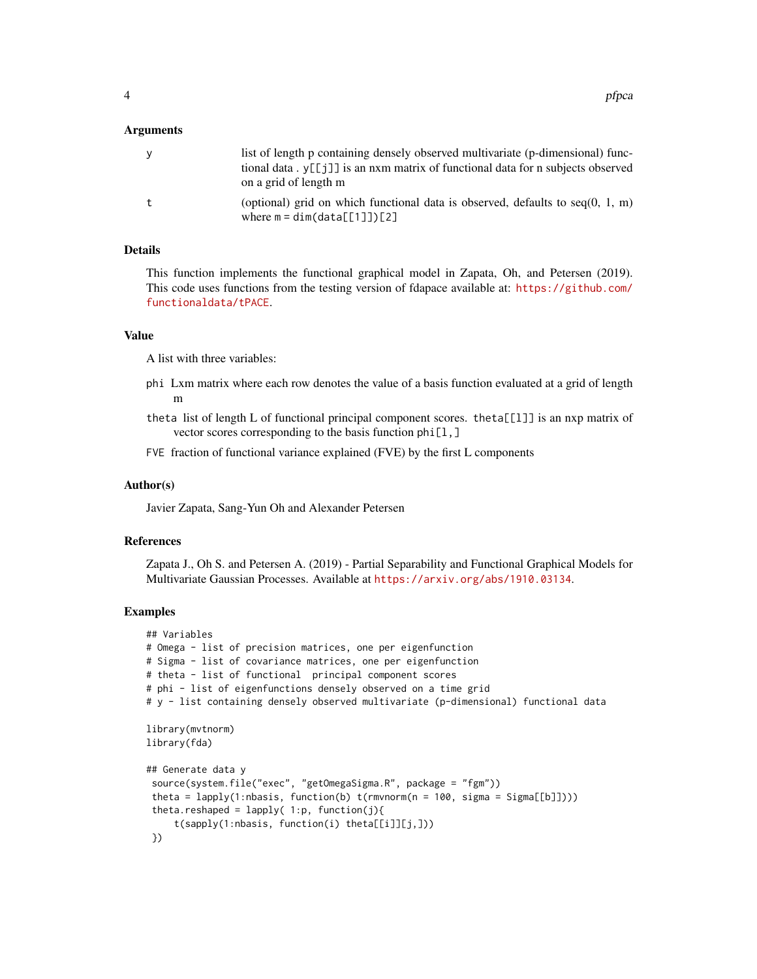#### Arguments

| <b>V</b> | list of length p containing densely observed multivariate (p-dimensional) func-<br>tional data . $v[\lceil i \rceil]$ is an nxm matrix of functional data for n subjects observed |
|----------|-----------------------------------------------------------------------------------------------------------------------------------------------------------------------------------|
| t        | on a grid of length m<br>(optional) grid on which functional data is observed, defaults to $seq(0, 1, m)$                                                                         |
|          | where $m = dim(data[[1]])[2]$                                                                                                                                                     |

#### Details

This function implements the functional graphical model in Zapata, Oh, and Petersen (2019). This code uses functions from the testing version of fdapace available at: [https://github.com/](https://github.com/functionaldata/tPACE) [functionaldata/tPACE](https://github.com/functionaldata/tPACE).

#### Value

A list with three variables:

- phi Lxm matrix where each row denotes the value of a basis function evaluated at a grid of length m
- theta list of length L of functional principal component scores. theta[[l]] is an nxp matrix of vector scores corresponding to the basis function phi[l,]
- FVE fraction of functional variance explained (FVE) by the first L components

#### Author(s)

Javier Zapata, Sang-Yun Oh and Alexander Petersen

#### References

Zapata J., Oh S. and Petersen A. (2019) - Partial Separability and Functional Graphical Models for Multivariate Gaussian Processes. Available at <https://arxiv.org/abs/1910.03134>.

#### Examples

```
## Variables
# Omega - list of precision matrices, one per eigenfunction
# Sigma - list of covariance matrices, one per eigenfunction
# theta - list of functional principal component scores
# phi - list of eigenfunctions densely observed on a time grid
# y - list containing densely observed multivariate (p-dimensional) functional data
library(mvtnorm)
library(fda)
## Generate data y
 source(system.file("exec", "getOmegaSigma.R", package = "fgm"))
 theta = lapply(1:nbasis, function(b) t(rmvnorm(n = 100, sigma = Sigma[[b]])))
 theta.reshaped = lapply(1:p, function(j){
     t(sapply(1:nbasis, function(i) theta[[i]][j,]))
 })
```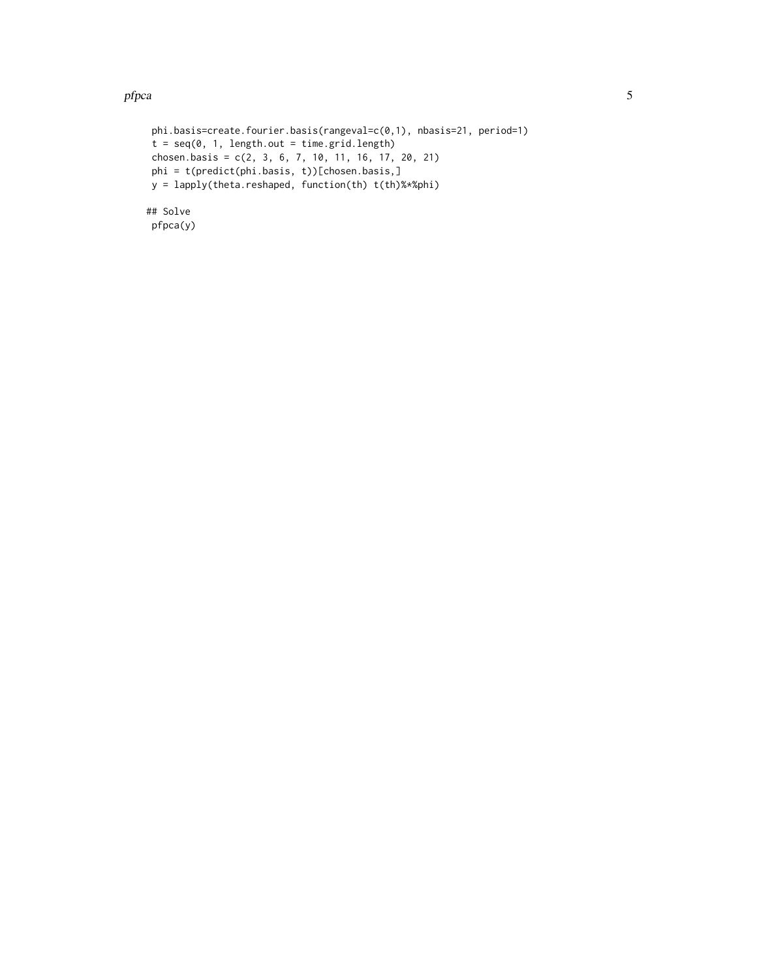#### pfpca 5

```
phi.basis=create.fourier.basis(rangeval=c(0,1), nbasis=21, period=1)
t = seq(0, 1, length.out = time.grid.length)chosen.basis = c(2, 3, 6, 7, 10, 11, 16, 17, 20, 21)
phi = t(predict(phi.basis, t))[chosen.basis,]
y = lapply(theta.reshaped, function(th) t(th)%*%phi)
## Solve
pfpca(y)
```